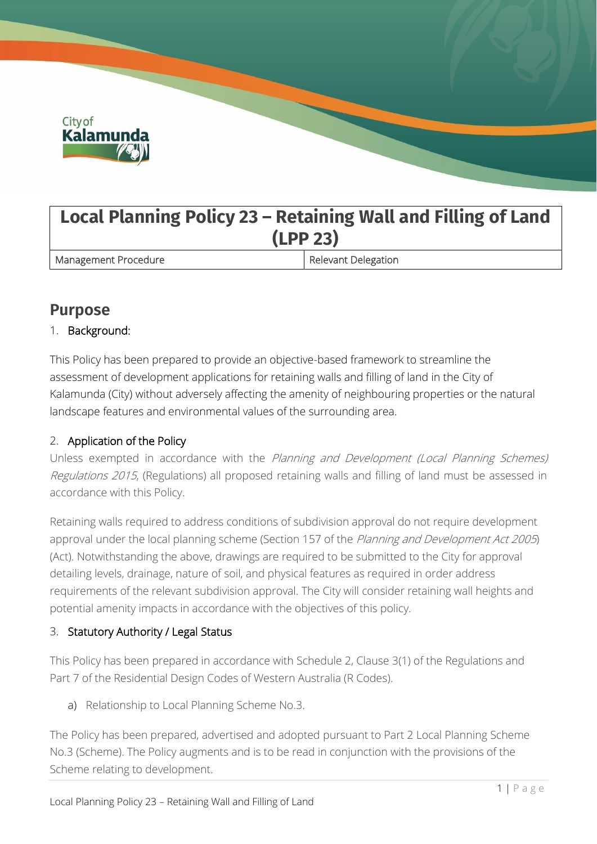

# **Local Planning Policy 23 – Retaining Wall and Filling of Land (LPP 23)**

Management Procedure **Relevant Delegation** 

# **Purpose**

### 1. Background:

This Policy has been prepared to provide an objective-based framework to streamline the assessment of development applications for retaining walls and filling of land in the City of Kalamunda (City) without adversely affecting the amenity of neighbouring properties or the natural landscape features and environmental values of the surrounding area.

## 2. Application of the Policy

Unless exempted in accordance with the Planning and Development (Local Planning Schemes) Regulations 2015, (Regulations) all proposed retaining walls and filling of land must be assessed in accordance with this Policy.

Retaining walls required to address conditions of subdivision approval do not require development approval under the local planning scheme (Section 157 of the Planning and Development Act 2005) (Act). Notwithstanding the above, drawings are required to be submitted to the City for approval detailing levels, drainage, nature of soil, and physical features as required in order address requirements of the relevant subdivision approval. The City will consider retaining wall heights and potential amenity impacts in accordance with the objectives of this policy.

### 3. Statutory Authority / Legal Status

This Policy has been prepared in accordance with Schedule 2, Clause 3(1) of the Regulations and Part 7 of the Residential Design Codes of Western Australia (R Codes).

a) Relationship to Local Planning Scheme No.3.

The Policy has been prepared, advertised and adopted pursuant to Part 2 Local Planning Scheme No.3 (Scheme). The Policy augments and is to be read in conjunction with the provisions of the Scheme relating to development.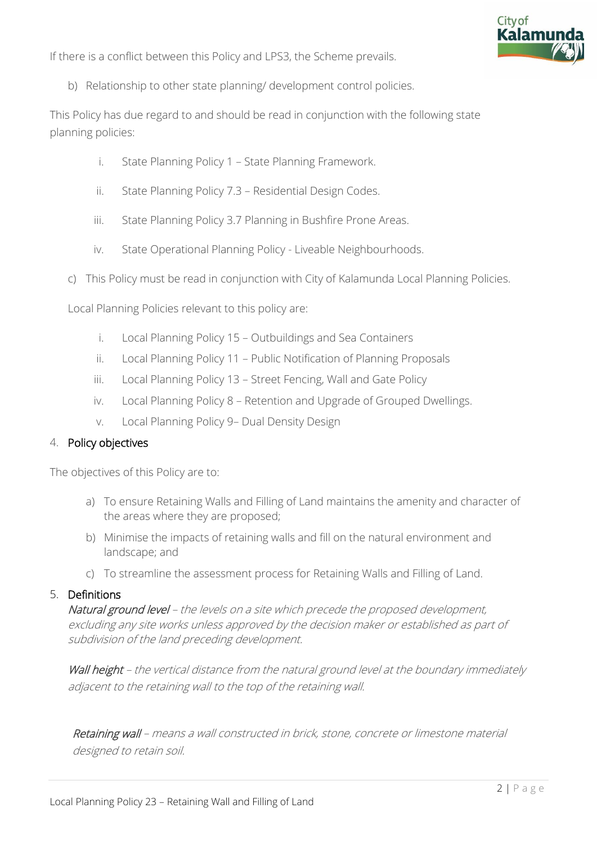

If there is a conflict between this Policy and LPS3, the Scheme prevails.

b) Relationship to other state planning/ development control policies.

This Policy has due regard to and should be read in conjunction with the following state planning policies:

- i. State Planning Policy 1 State Planning Framework.
- ii. State Planning Policy 7.3 Residential Design Codes.
- iii. State Planning Policy 3.7 Planning in Bushfire Prone Areas.
- iv. State Operational Planning Policy Liveable Neighbourhoods.
- c) This Policy must be read in conjunction with City of Kalamunda Local Planning Policies.

Local Planning Policies relevant to this policy are:

- i. Local Planning Policy 15 Outbuildings and Sea Containers
- ii. Local Planning Policy 11 Public Notification of Planning Proposals
- iii. Local Planning Policy 13 Street Fencing, Wall and Gate Policy
- iv. Local Planning Policy 8 Retention and Upgrade of Grouped Dwellings.
- v. Local Planning Policy 9– Dual Density Design

### 4. Policy objectives

The objectives of this Policy are to:

- a) To ensure Retaining Walls and Filling of Land maintains the amenity and character of the areas where they are proposed;
- b) Minimise the impacts of retaining walls and fill on the natural environment and landscape; and
- c) To streamline the assessment process for Retaining Walls and Filling of Land.

### 5. Definitions

Natural ground level – the levels on a site which precede the proposed development, excluding any site works unless approved by the decision maker or established as part of subdivision of the land preceding development.

Wall height – the vertical distance from the natural ground level at the boundary immediately adjacent to the retaining wall to the top of the retaining wall.

Retaining wall – means a wall constructed in brick, stone, concrete or limestone material designed to retain soil.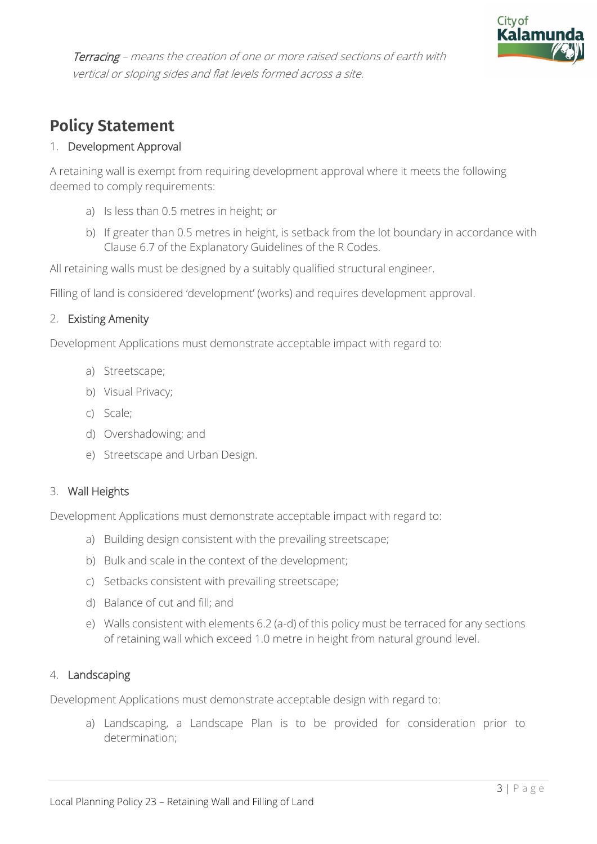

Terracing – means the creation of one or more raised sections of earth with vertical or sloping sides and flat levels formed across a site.

# **Policy Statement**

### 1. Development Approval

A retaining wall is exempt from requiring development approval where it meets the following deemed to comply requirements:

- a) Is less than 0.5 metres in height; or
- b) If greater than 0.5 metres in height, is setback from the lot boundary in accordance with Clause 6.7 of the Explanatory Guidelines of the R Codes.

All retaining walls must be designed by a suitably qualified structural engineer.

Filling of land is considered 'development' (works) and requires development approval.

### 2. Existing Amenity

Development Applications must demonstrate acceptable impact with regard to:

- a) Streetscape;
- b) Visual Privacy;
- c) Scale;
- d) Overshadowing; and
- e) Streetscape and Urban Design.

### 3. Wall Heights

Development Applications must demonstrate acceptable impact with regard to:

- a) Building design consistent with the prevailing streetscape;
- b) Bulk and scale in the context of the development;
- c) Setbacks consistent with prevailing streetscape;
- d) Balance of cut and fill; and
- e) Walls consistent with elements 6.2 (a-d) of this policy must be terraced for any sections of retaining wall which exceed 1.0 metre in height from natural ground level.

### 4. Landscaping

Development Applications must demonstrate acceptable design with regard to:

a) Landscaping, a Landscape Plan is to be provided for consideration prior to determination;